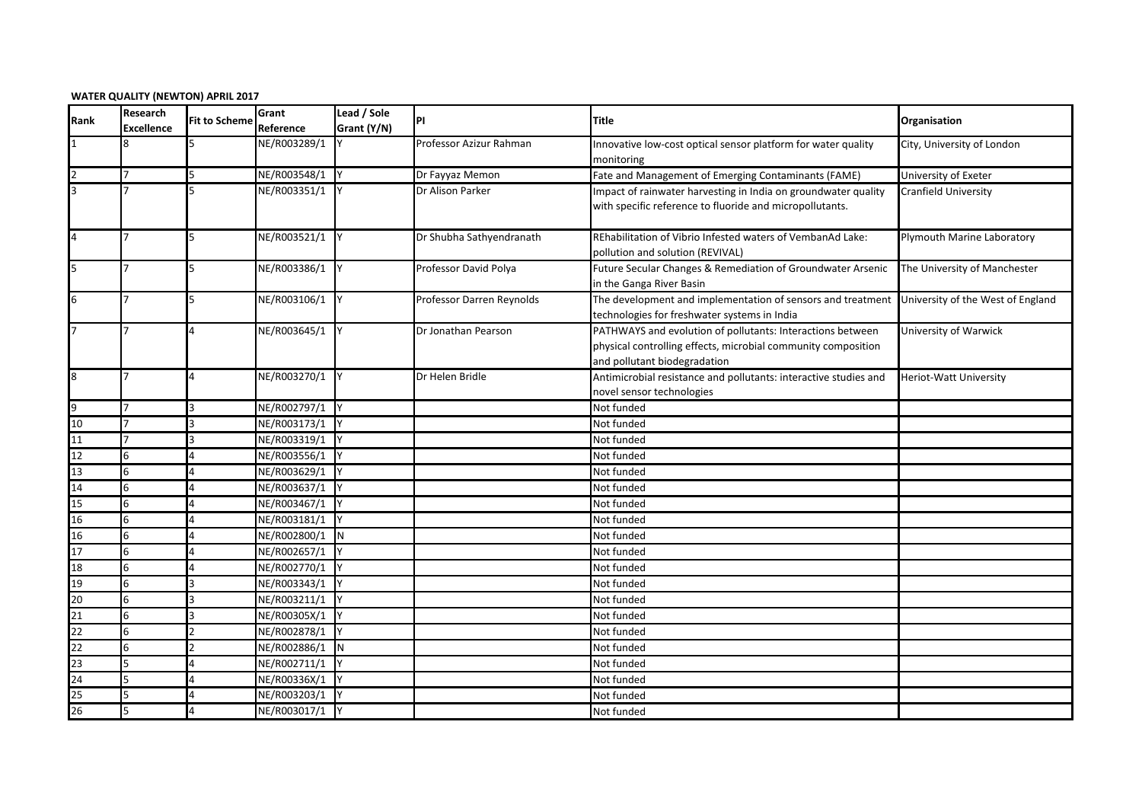| <b>WATER QUALITY (NEWTON) APRIL 2017</b> |  |  |
|------------------------------------------|--|--|
|------------------------------------------|--|--|

| Rank            | Research<br><b>Excellence</b> | <b>Fit to Scheme</b> | Grant<br>Reference | Lead / Sole<br>Grant (Y/N) | PI                        | Title                                                                                                       | Organisation                      |
|-----------------|-------------------------------|----------------------|--------------------|----------------------------|---------------------------|-------------------------------------------------------------------------------------------------------------|-----------------------------------|
|                 |                               | 5                    | NE/R003289/1       |                            | Professor Azizur Rahman   | Innovative low-cost optical sensor platform for water quality<br>monitoring                                 | City, University of London        |
|                 |                               |                      | NE/R003548/1       |                            | Dr Fayyaz Memon           | Fate and Management of Emerging Contaminants (FAME)                                                         | University of Exeter              |
| l3              |                               |                      | NE/R003351/1       |                            | Dr Alison Parker          | Impact of rainwater harvesting in India on groundwater quality                                              | <b>Cranfield University</b>       |
|                 |                               |                      |                    |                            |                           | with specific reference to fluoride and micropollutants.                                                    |                                   |
| $\overline{4}$  |                               | 5                    | NE/R003521/1       |                            | Dr Shubha Sathyendranath  | REhabilitation of Vibrio Infested waters of VembanAd Lake:<br>pollution and solution (REVIVAL)              | Plymouth Marine Laboratory        |
| 5               |                               | 5                    | NE/R003386/1       |                            | Professor David Polya     | Future Secular Changes & Remediation of Groundwater Arsenic<br>in the Ganga River Basin                     | The University of Manchester      |
| 6               |                               | 5                    | NE/R003106/1       |                            | Professor Darren Reynolds | The development and implementation of sensors and treatment<br>technologies for freshwater systems in India | University of the West of England |
| 17              |                               | 4                    | NE/R003645/1       |                            | Dr Jonathan Pearson       | PATHWAYS and evolution of pollutants: Interactions between                                                  | University of Warwick             |
|                 |                               |                      |                    |                            |                           | physical controlling effects, microbial community composition                                               |                                   |
|                 |                               |                      |                    |                            |                           | and pollutant biodegradation                                                                                |                                   |
| 8               |                               | 4                    | NE/R003270/1 Y     |                            | Dr Helen Bridle           | Antimicrobial resistance and pollutants: interactive studies and<br>novel sensor technologies               | <b>Heriot-Watt University</b>     |
| 9               |                               |                      | NE/R002797/1       |                            |                           | Not funded                                                                                                  |                                   |
| 10              |                               |                      | NE/R003173/1       |                            |                           | Not funded                                                                                                  |                                   |
| 11              |                               |                      | NE/R003319/1       |                            |                           | Not funded                                                                                                  |                                   |
| 12              | 6                             | 4                    | NE/R003556/1       |                            |                           | Not funded                                                                                                  |                                   |
| 13              | 6                             |                      | NE/R003629/1       |                            |                           | Not funded                                                                                                  |                                   |
| 14              | 6                             |                      | NE/R003637/1       |                            |                           | Not funded                                                                                                  |                                   |
| 15              | 6                             |                      | NE/R003467/1       |                            |                           | Not funded                                                                                                  |                                   |
| 16              | 6                             |                      | NE/R003181/1       |                            |                           | Not funded                                                                                                  |                                   |
| 16              | 6                             |                      | NE/R002800/1       | IΝ                         |                           | Not funded                                                                                                  |                                   |
| 17              | 6                             |                      | NE/R002657/1       |                            |                           | Not funded                                                                                                  |                                   |
| 18              | 6                             |                      | NE/R002770/1       |                            |                           | Not funded                                                                                                  |                                   |
| 19              | 6                             |                      | NE/R003343/1       |                            |                           | Not funded                                                                                                  |                                   |
| 20              | 6                             |                      | NE/R003211/1       |                            |                           | Not funded                                                                                                  |                                   |
| $\overline{21}$ | 6                             |                      | NE/R00305X/1       |                            |                           | Not funded                                                                                                  |                                   |
| $\overline{22}$ | 6                             |                      | NE/R002878/1       |                            |                           | Not funded                                                                                                  |                                   |
| 22              | 6                             |                      | NE/R002886/1       | <b>IN</b>                  |                           | Not funded                                                                                                  |                                   |
| 23              | 5                             |                      | NE/R002711/1       |                            |                           | Not funded                                                                                                  |                                   |
| $\overline{24}$ | 5                             |                      | NE/R00336X/1       |                            |                           | Not funded                                                                                                  |                                   |
| 25              | 5                             | 4                    | NE/R003203/1 Y     |                            |                           | Not funded                                                                                                  |                                   |
| 26              | 5                             |                      | NE/R003017/1 Y     |                            |                           | Not funded                                                                                                  |                                   |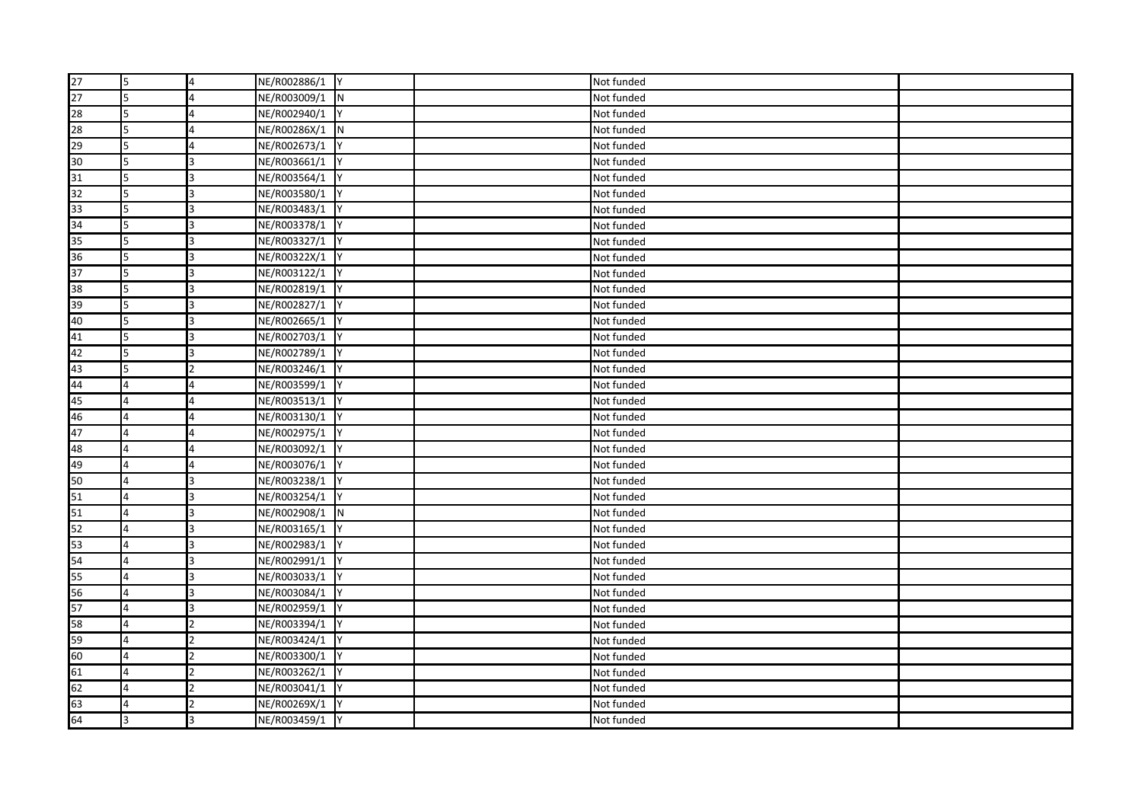| 27 | 5              | $\overline{a}$ | NE/R002886/1 Y |           | Not funded |  |
|----|----------------|----------------|----------------|-----------|------------|--|
| 27 | 5              |                | NE/R003009/1 N |           | Not funded |  |
| 28 | 5              |                | NE/R002940/1   |           | Not funded |  |
| 28 | 5              | 4              | NE/R00286X/1 N |           | Not funded |  |
| 29 | 5              |                | NE/R002673/1   |           | Not funded |  |
| 30 | 5              | 3              | NE/R003661/1   | <b>IY</b> | Not funded |  |
| 31 | 5              | 3              | NE/R003564/1   |           | Not funded |  |
| 32 | 5              |                | NE/R003580/1   |           | Not funded |  |
| 33 | 5              | 3              | NE/R003483/1 Y |           | Not funded |  |
| 34 | 5              | 3              | NE/R003378/1   |           | Not funded |  |
| 35 | 5              |                | NE/R003327/1 Y |           | Not funded |  |
| 36 | 5              | 3              | NE/R00322X/1 Y |           | Not funded |  |
| 37 | 5              | 3              | NE/R003122/1   |           | Not funded |  |
| 38 | 5              |                | NE/R002819/1   |           | Not funded |  |
| 39 | 5              |                | NE/R002827/1   |           | Not funded |  |
| 40 | 5              |                | NE/R002665/1   |           | Not funded |  |
| 41 | 5              | 3              | NE/R002703/1 Y |           | Not funded |  |
| 42 | 5              | 3              | NE/R002789/1   |           | Not funded |  |
| 43 | 5              | $\mathfrak{p}$ | NE/R003246/1 Y |           | Not funded |  |
| 44 | $\overline{4}$ | 4              | NE/R003599/1 Y |           | Not funded |  |
| 45 | $\overline{4}$ | 4              | NE/R003513/1   |           | Not funded |  |
| 46 | 4              | 4              | NE/R003130/1 Y |           | Not funded |  |
| 47 | 4              | 4              | NE/R002975/1 Y |           | Not funded |  |
| 48 | 4              |                | NE/R003092/1   |           | Not funded |  |
| 49 | $\overline{4}$ |                | NE/R003076/1   |           | Not funded |  |
| 50 | $\overline{4}$ |                | NE/R003238/1   |           | Not funded |  |
| 51 | 4              |                | NE/R003254/1   |           | Not funded |  |
| 51 | 4              | 3              | NE/R002908/1 N |           | Not funded |  |
| 52 | $\overline{4}$ | 3              | NE/R003165/1   |           | Not funded |  |
| 53 | 4              |                | NE/R002983/1   |           | Not funded |  |
| 54 | $\overline{4}$ | 3              | NE/R002991/1 Y |           | Not funded |  |
| 55 | $\overline{4}$ | 3              | NE/R003033/1   |           | Not funded |  |
| 56 | $\overline{4}$ | 3              | NE/R003084/1 Y |           | Not funded |  |
| 57 | 4              |                | NE/R002959/1   |           | Not funded |  |
| 58 | 4              |                | NE/R003394/1   |           | Not funded |  |
| 59 | 4              |                | NE/R003424/1   |           | Not funded |  |
| 60 | $\overline{4}$ |                | NE/R003300/1   |           | Not funded |  |
| 61 | $\overline{4}$ |                | NE/R003262/1 Y |           | Not funded |  |
| 62 | 4              | 2              | NE/R003041/1 Y |           | Not funded |  |
| 63 | $\overline{4}$ | 2              | NE/R00269X/1   |           | Not funded |  |
| 64 | 3              |                | NE/R003459/1 Y |           | Not funded |  |